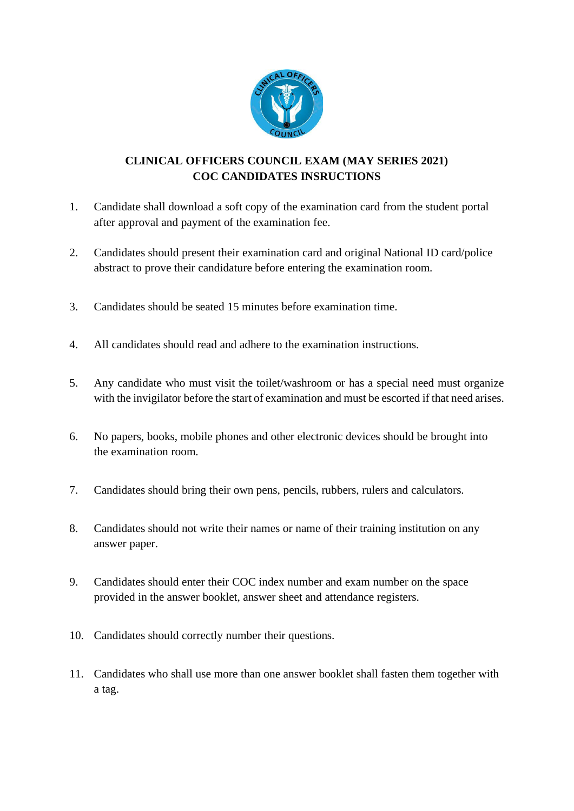

## **CLINICAL OFFICERS COUNCIL EXAM (MAY SERIES 2021) COC CANDIDATES INSRUCTIONS**

- 1. Candidate shall download a soft copy of the examination card from the student portal after approval and payment of the examination fee.
- 2. Candidates should present their examination card and original National ID card/police abstract to prove their candidature before entering the examination room.
- 3. Candidates should be seated 15 minutes before examination time.
- 4. All candidates should read and adhere to the examination instructions.
- 5. Any candidate who must visit the toilet/washroom or has a special need must organize with the invigilator before the start of examination and must be escorted if that need arises.
- 6. No papers, books, mobile phones and other electronic devices should be brought into the examination room.
- 7. Candidates should bring their own pens, pencils, rubbers, rulers and calculators.
- 8. Candidates should not write their names or name of their training institution on any answer paper.
- 9. Candidates should enter their COC index number and exam number on the space provided in the answer booklet, answer sheet and attendance registers.
- 10. Candidates should correctly number their questions.
- 11. Candidates who shall use more than one answer booklet shall fasten them together with a tag.